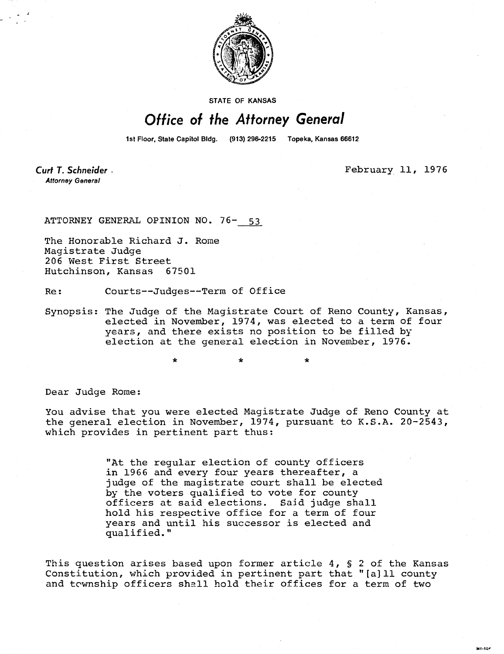

STATE OF KANSAS

## Office of the Attorney General

1st Floor, State Capitol Bldg. (913) 296-2215 Topeka, Kansas 66612

Curt T. Schneider. **Attorney General** 

February 11, 1976

ATTORNEY GENERAL OPINION NO. 76- 53

The Honorable Richard J. Rome Magistrate Judge 206 West First Street Hutchinson, Kansas 67501

Re: Courts--Judges--Term of Office

\*

Synopsis: The Judge of the Magistrate Court of Reno County, Kansas, elected in November, 1974, was elected to a term of four years, and there exists no position to be filled by election at the general election in November, 1976.

Dear Judge Rome:

You advise that you were elected Magistrate Judge of Reno County at the general election in November, 1974, pursuant to K.S.A. 20-2543, which provides in pertinent part thus:

> "At the regular election of county officers in 1966 and every four years thereafter, a judge of the magistrate court shall be elected by the voters qualified to vote for county officers at said elections. Said judge shall hold his respective office for a term of four years and until his successor is elected and qualified."

This question arises based upon former article 4, § 2 of the Kansas Constitution, which provided in pertinent part that "[a]ll county and township officers shall hold their offices for a term of two